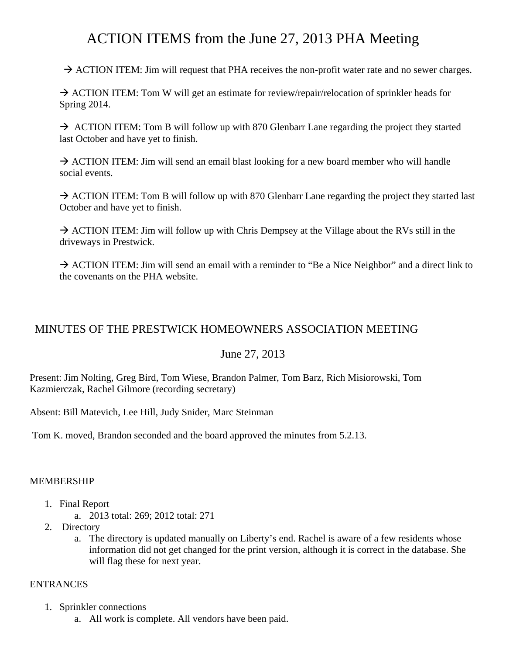# ACTION ITEMS from the June 27, 2013 PHA Meeting

 $\rightarrow$  ACTION ITEM: Jim will request that PHA receives the non-profit water rate and no sewer charges.

 $\rightarrow$  ACTION ITEM: Tom W will get an estimate for review/repair/relocation of sprinkler heads for Spring 2014.

 $\rightarrow$  ACTION ITEM: Tom B will follow up with 870 Glenbarr Lane regarding the project they started last October and have yet to finish.

 $\rightarrow$  ACTION ITEM: Jim will send an email blast looking for a new board member who will handle social events.

 $\rightarrow$  ACTION ITEM: Tom B will follow up with 870 Glenbarr Lane regarding the project they started last October and have yet to finish.

 $\rightarrow$  ACTION ITEM: Jim will follow up with Chris Dempsey at the Village about the RVs still in the driveways in Prestwick.

 $\rightarrow$  ACTION ITEM: Jim will send an email with a reminder to "Be a Nice Neighbor" and a direct link to the covenants on the PHA website.

## MINUTES OF THE PRESTWICK HOMEOWNERS ASSOCIATION MEETING

## June 27, 2013

Present: Jim Nolting, Greg Bird, Tom Wiese, Brandon Palmer, Tom Barz, Rich Misiorowski, Tom Kazmierczak, Rachel Gilmore (recording secretary)

Absent: Bill Matevich, Lee Hill, Judy Snider, Marc Steinman

Tom K. moved, Brandon seconded and the board approved the minutes from 5.2.13.

## MEMBERSHIP

- 1. Final Report
	- a. 2013 total: 269; 2012 total: 271
- 2. Directory
	- a. The directory is updated manually on Liberty's end. Rachel is aware of a few residents whose information did not get changed for the print version, although it is correct in the database. She will flag these for next year.

## **ENTRANCES**

- 1. Sprinkler connections
	- a. All work is complete. All vendors have been paid.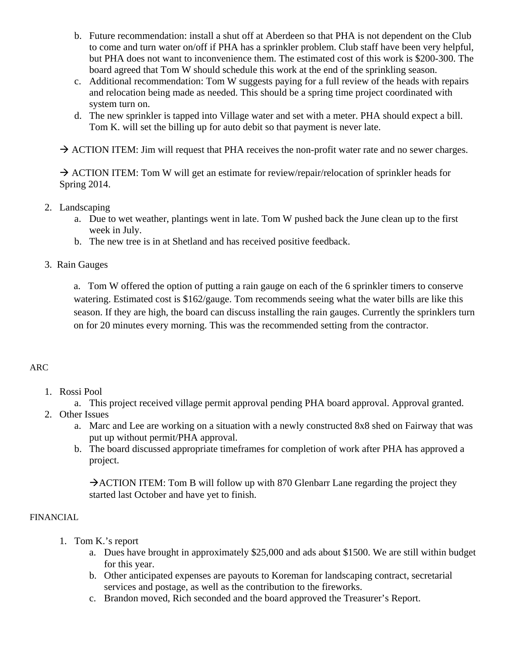- b. Future recommendation: install a shut off at Aberdeen so that PHA is not dependent on the Club to come and turn water on/off if PHA has a sprinkler problem. Club staff have been very helpful, but PHA does not want to inconvenience them. The estimated cost of this work is \$200-300. The board agreed that Tom W should schedule this work at the end of the sprinkling season.
- c. Additional recommendation: Tom W suggests paying for a full review of the heads with repairs and relocation being made as needed. This should be a spring time project coordinated with system turn on.
- d. The new sprinkler is tapped into Village water and set with a meter. PHA should expect a bill. Tom K. will set the billing up for auto debit so that payment is never late.

 $\rightarrow$  ACTION ITEM: Jim will request that PHA receives the non-profit water rate and no sewer charges.

 $\rightarrow$  ACTION ITEM: Tom W will get an estimate for review/repair/relocation of sprinkler heads for Spring 2014.

- 2. Landscaping
	- a. Due to wet weather, plantings went in late. Tom W pushed back the June clean up to the first week in July.
	- b. The new tree is in at Shetland and has received positive feedback.
- 3. Rain Gauges

a. Tom W offered the option of putting a rain gauge on each of the 6 sprinkler timers to conserve watering. Estimated cost is \$162/gauge. Tom recommends seeing what the water bills are like this season. If they are high, the board can discuss installing the rain gauges. Currently the sprinklers turn on for 20 minutes every morning. This was the recommended setting from the contractor.

## ARC

- 1. Rossi Pool
	- a. This project received village permit approval pending PHA board approval. Approval granted.
- 2. Other Issues
	- a. Marc and Lee are working on a situation with a newly constructed 8x8 shed on Fairway that was put up without permit/PHA approval.
	- b. The board discussed appropriate timeframes for completion of work after PHA has approved a project.

 $\rightarrow$  ACTION ITEM: Tom B will follow up with 870 Glenbarr Lane regarding the project they started last October and have yet to finish.

## FINANCIAL

- 1. Tom K.'s report
	- a. Dues have brought in approximately \$25,000 and ads about \$1500. We are still within budget for this year.
	- b. Other anticipated expenses are payouts to Koreman for landscaping contract, secretarial services and postage, as well as the contribution to the fireworks.
	- c. Brandon moved, Rich seconded and the board approved the Treasurer's Report.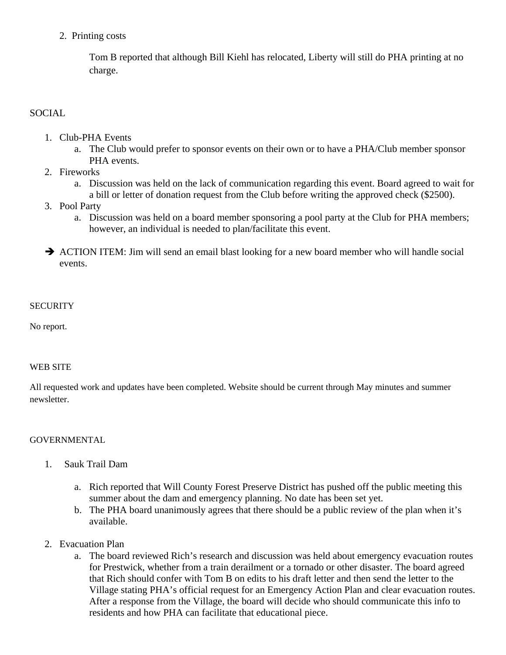2. Printing costs

Tom B reported that although Bill Kiehl has relocated, Liberty will still do PHA printing at no charge.

## **SOCIAL**

- 1. Club-PHA Events
	- a. The Club would prefer to sponsor events on their own or to have a PHA/Club member sponsor PHA events.
- 2. Fireworks
	- a. Discussion was held on the lack of communication regarding this event. Board agreed to wait for a bill or letter of donation request from the Club before writing the approved check (\$2500).
- 3. Pool Party
	- a. Discussion was held on a board member sponsoring a pool party at the Club for PHA members; however, an individual is needed to plan/facilitate this event.
- $\rightarrow$  ACTION ITEM: Jim will send an email blast looking for a new board member who will handle social events.

## **SECURITY**

No report.

## WEB SITE

All requested work and updates have been completed. Website should be current through May minutes and summer newsletter.

## GOVERNMENTAL

- 1. Sauk Trail Dam
	- a. Rich reported that Will County Forest Preserve District has pushed off the public meeting this summer about the dam and emergency planning. No date has been set yet.
	- b. The PHA board unanimously agrees that there should be a public review of the plan when it's available.
- 2. Evacuation Plan
	- a. The board reviewed Rich's research and discussion was held about emergency evacuation routes for Prestwick, whether from a train derailment or a tornado or other disaster. The board agreed that Rich should confer with Tom B on edits to his draft letter and then send the letter to the Village stating PHA's official request for an Emergency Action Plan and clear evacuation routes. After a response from the Village, the board will decide who should communicate this info to residents and how PHA can facilitate that educational piece.